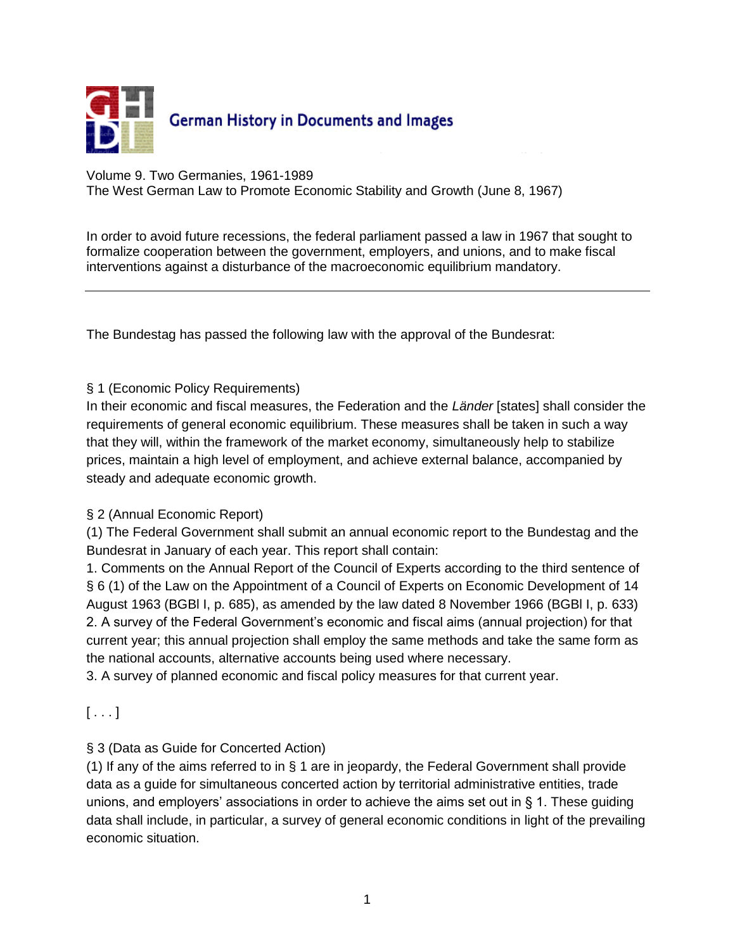

Volume 9. Two Germanies, 1961-1989

The West German Law to Promote Economic Stability and Growth (June 8, 1967)

In order to avoid future recessions, the federal parliament passed a law in 1967 that sought to formalize cooperation between the government, employers, and unions, and to make fiscal interventions against a disturbance of the macroeconomic equilibrium mandatory.

The Bundestag has passed the following law with the approval of the Bundesrat:

### § 1 (Economic Policy Requirements)

In their economic and fiscal measures, the Federation and the *Länder* [states] shall consider the requirements of general economic equilibrium. These measures shall be taken in such a way that they will, within the framework of the market economy, simultaneously help to stabilize prices, maintain a high level of employment, and achieve external balance, accompanied by steady and adequate economic growth.

### § 2 (Annual Economic Report)

(1) The Federal Government shall submit an annual economic report to the Bundestag and the Bundesrat in January of each year. This report shall contain:

1. Comments on the Annual Report of the Council of Experts according to the third sentence of § 6 (1) of the Law on the Appointment of a Council of Experts on Economic Development of 14 August 1963 (BGBl I, p. 685), as amended by the law dated 8 November 1966 (BGBl I, p. 633) 2. A survey of the Federal Government's economic and fiscal aims (annual projection) for that current year; this annual projection shall employ the same methods and take the same form as the national accounts, alternative accounts being used where necessary.

3. A survey of planned economic and fiscal policy measures for that current year.

 $[\ldots]$ 

### § 3 (Data as Guide for Concerted Action)

(1) If any of the aims referred to in § 1 are in jeopardy, the Federal Government shall provide data as a guide for simultaneous concerted action by territorial administrative entities, trade unions, and employers' associations in order to achieve the aims set out in § 1. These guiding data shall include, in particular, a survey of general economic conditions in light of the prevailing economic situation.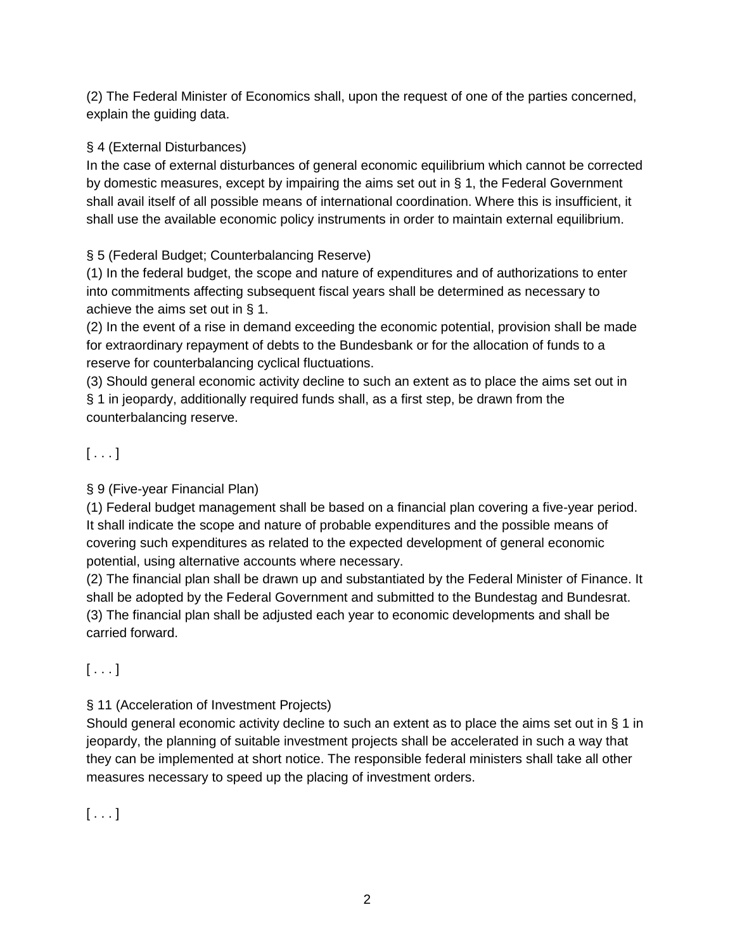(2) The Federal Minister of Economics shall, upon the request of one of the parties concerned, explain the guiding data.

## § 4 (External Disturbances)

In the case of external disturbances of general economic equilibrium which cannot be corrected by domestic measures, except by impairing the aims set out in § 1, the Federal Government shall avail itself of all possible means of international coordination. Where this is insufficient, it shall use the available economic policy instruments in order to maintain external equilibrium.

## § 5 (Federal Budget; Counterbalancing Reserve)

(1) In the federal budget, the scope and nature of expenditures and of authorizations to enter into commitments affecting subsequent fiscal years shall be determined as necessary to achieve the aims set out in § 1.

(2) In the event of a rise in demand exceeding the economic potential, provision shall be made for extraordinary repayment of debts to the Bundesbank or for the allocation of funds to a reserve for counterbalancing cyclical fluctuations.

(3) Should general economic activity decline to such an extent as to place the aims set out in § 1 in jeopardy, additionally required funds shall, as a first step, be drawn from the counterbalancing reserve.

# $[\ldots]$

### § 9 (Five-year Financial Plan)

(1) Federal budget management shall be based on a financial plan covering a five-year period. It shall indicate the scope and nature of probable expenditures and the possible means of covering such expenditures as related to the expected development of general economic potential, using alternative accounts where necessary.

(2) The financial plan shall be drawn up and substantiated by the Federal Minister of Finance. It shall be adopted by the Federal Government and submitted to the Bundestag and Bundesrat. (3) The financial plan shall be adjusted each year to economic developments and shall be carried forward.

 $[\ldots]$ 

### § 11 (Acceleration of Investment Projects)

Should general economic activity decline to such an extent as to place the aims set out in § 1 in jeopardy, the planning of suitable investment projects shall be accelerated in such a way that they can be implemented at short notice. The responsible federal ministers shall take all other measures necessary to speed up the placing of investment orders.

 $[ \ldots ]$